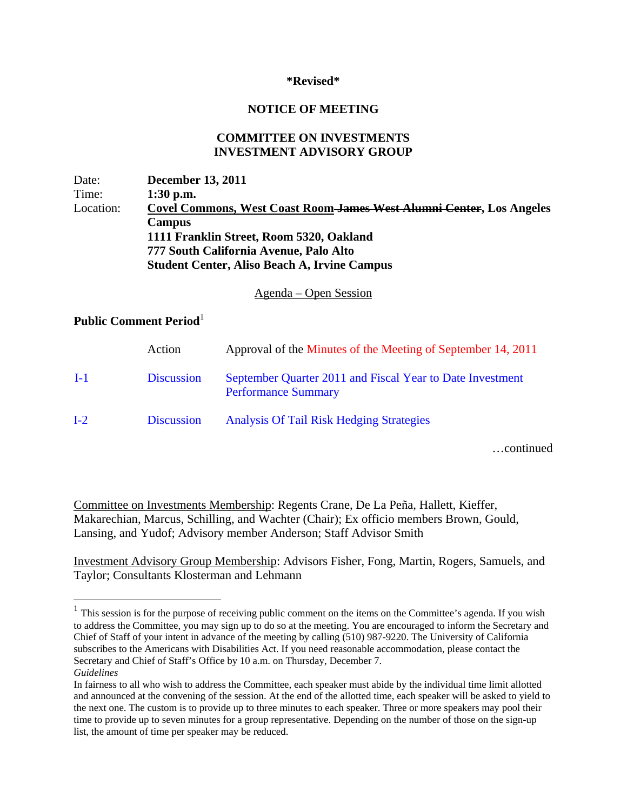## **\*Revised\***

## **NOTICE OF MEETING**

## **COMMITTEE ON INVESTMENTS INVESTMENT ADVISORY GROUP**

Date: **December 13, 2011**  Time: **1:30 p.m.** Location: **Covel Commons, West Coast Room James West Alumni Center, Los Angeles Campus 1111 Franklin Street, Room 5320, Oakland 777 South California Avenue, Palo Alto Student Center, Aliso Beach A, Irvine Campus** 

Agenda – Open Session

## **Public Comment Period**<sup>1</sup>

1

|       | Action            | Approval of the Minutes of the Meeting of September 14, 2011                            |
|-------|-------------------|-----------------------------------------------------------------------------------------|
| $I-1$ | <b>Discussion</b> | September Quarter 2011 and Fiscal Year to Date Investment<br><b>Performance Summary</b> |
| $I-2$ | <b>Discussion</b> | <b>Analysis Of Tail Risk Hedging Strategies</b>                                         |

…continued

Committee on Investments Membership: Regents Crane, De La Peña, Hallett, Kieffer, Makarechian, Marcus, Schilling, and Wachter (Chair); Ex officio members Brown, Gould, Lansing, and Yudof; Advisory member Anderson; Staff Advisor Smith

Investment Advisory Group Membership: Advisors Fisher, Fong, Martin, Rogers, Samuels, and Taylor; Consultants Klosterman and Lehmann

 $1$  This session is for the purpose of receiving public comment on the items on the Committee's agenda. If you wish to address the Committee, you may sign up to do so at the meeting. You are encouraged to inform the Secretary and Chief of Staff of your intent in advance of the meeting by calling (510) 987-9220. The University of California subscribes to the Americans with Disabilities Act. If you need reasonable accommodation, please contact the Secretary and Chief of Staff's Office by 10 a.m. on Thursday, December 7. *Guidelines*

In fairness to all who wish to address the Committee, each speaker must abide by the individual time limit allotted and announced at the convening of the session. At the end of the allotted time, each speaker will be asked to yield to the next one. The custom is to provide up to three minutes to each speaker. Three or more speakers may pool their time to provide up to seven minutes for a group representative. Depending on the number of those on the sign-up list, the amount of time per speaker may be reduced.